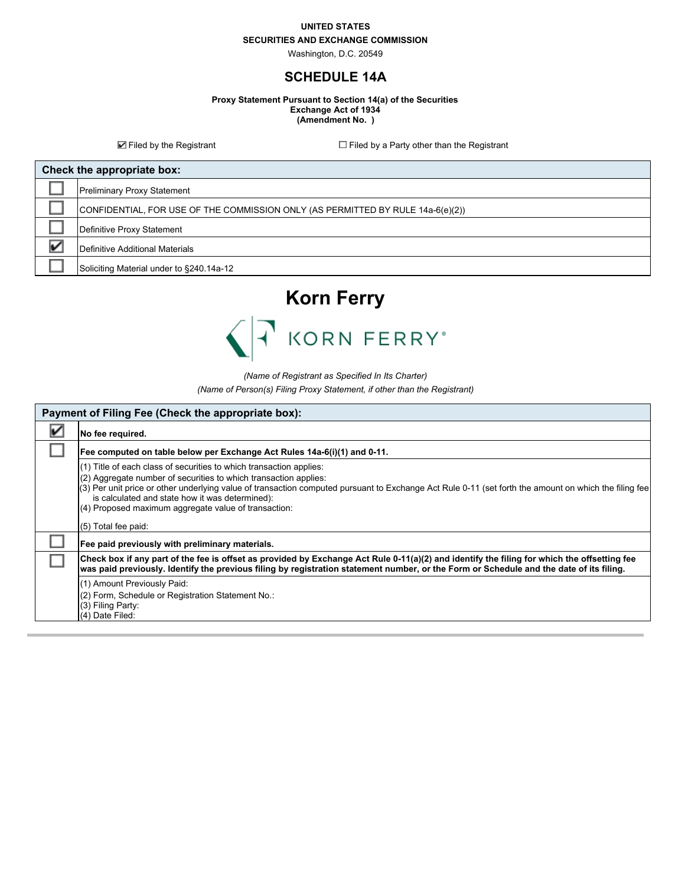#### **UNITED STATES**

### **SECURITIES AND EXCHANGE COMMISSION**

Washington, D.C. 20549

## **SCHEDULE 14A**

**Proxy Statement Pursuant to Section 14(a) of the Securities Exchange Act of 1934 (Amendment No. )**

 $\blacksquare$  Filed by the Registrant  $\blacksquare$  Filed by a Party other than the Registrant

| Check the appropriate box: |                                                                                 |  |
|----------------------------|---------------------------------------------------------------------------------|--|
|                            | <b>Preliminary Proxy Statement</b>                                              |  |
|                            | CONFIDENTIAL, FOR USE OF THE COMMISSION ONLY (AS PERMITTED BY RULE 14a-6(e)(2)) |  |
|                            | Definitive Proxy Statement                                                      |  |
|                            | Definitive Additional Materials                                                 |  |
|                            | Soliciting Material under to §240.14a-12                                        |  |



*(Name of Registrant as Specified In Its Charter)*

*(Name of Person(s) Filing Proxy Statement, if other than the Registrant)*

| Payment of Filing Fee (Check the appropriate box): |                                                                                                                                                                                                                                                                                                                                                                                                             |  |  |
|----------------------------------------------------|-------------------------------------------------------------------------------------------------------------------------------------------------------------------------------------------------------------------------------------------------------------------------------------------------------------------------------------------------------------------------------------------------------------|--|--|
|                                                    | No fee required.                                                                                                                                                                                                                                                                                                                                                                                            |  |  |
|                                                    | Fee computed on table below per Exchange Act Rules 14a-6(i)(1) and 0-11.                                                                                                                                                                                                                                                                                                                                    |  |  |
|                                                    | (1) Title of each class of securities to which transaction applies:<br>(2) Aggregate number of securities to which transaction applies:<br>(3) Per unit price or other underlying value of transaction computed pursuant to Exchange Act Rule 0-11 (set forth the amount on which the filing fee<br>is calculated and state how it was determined):<br>(4) Proposed maximum aggregate value of transaction: |  |  |
|                                                    | (5) Total fee paid:                                                                                                                                                                                                                                                                                                                                                                                         |  |  |
|                                                    | Fee paid previously with preliminary materials.                                                                                                                                                                                                                                                                                                                                                             |  |  |
|                                                    | Check box if any part of the fee is offset as provided by Exchange Act Rule 0-11(a)(2) and identify the filing for which the offsetting fee<br>was paid previously. Identify the previous filing by registration statement number, or the Form or Schedule and the date of its filing.                                                                                                                      |  |  |
|                                                    | (1) Amount Previously Paid:                                                                                                                                                                                                                                                                                                                                                                                 |  |  |
|                                                    | (2) Form, Schedule or Registration Statement No.:                                                                                                                                                                                                                                                                                                                                                           |  |  |
|                                                    | (3) Filing Party:                                                                                                                                                                                                                                                                                                                                                                                           |  |  |
|                                                    | (4) Date Filed:                                                                                                                                                                                                                                                                                                                                                                                             |  |  |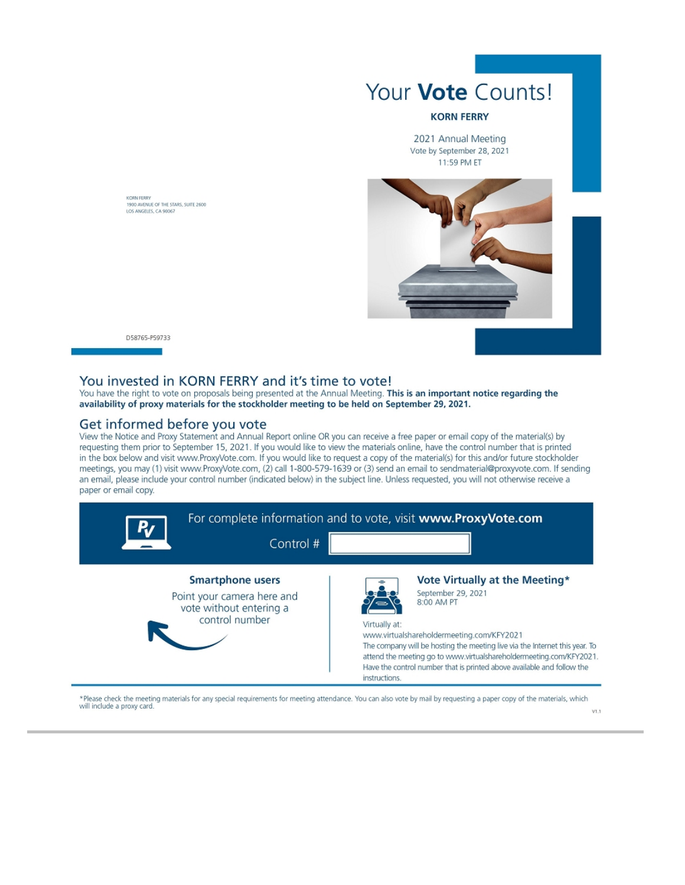

### **KORN FERRY**

2021 Annual Meeting Vote by September 28, 2021 11:59 PM ET



KORN FERRY<br>1900 AVENUE OF THE STARS, SUITE 2600 LOS ANGELES, CA 90067

#### D58765-P59733

## You invested in KORN FERRY and it's time to vote!

You have the right to vote on proposals being presented at the Annual Meeting. This is an important notice regarding the availability of proxy materials for the stockholder meeting to be held on September 29, 2021.

## Get informed before you vote

View the Notice and Proxy Statement and Annual Report online OR you can receive a free paper or email copy of the material(s) by requesting them prior to September 15, 2021. If you would like to view the materials online, have the control number that is printed in the box below and visit www.ProxyVote.com. If you would like to request a copy of the material(s) for this and/or future stockholder meetings, you may (1) visit www.ProxyVote.com, (2) call 1-800-579-1639 or (3) send an email to sendmaterial@proxyvote.com. If sending an email, please include your control number (indicated below) in the subject line. Unless requested, you will not otherwise receive a paper or email copy.



\*Please check the meeting materials for any special requirements for meeting attendance. You can also vote by mail by requesting a paper copy of the materials, which will include a proxy card  $VI.1$